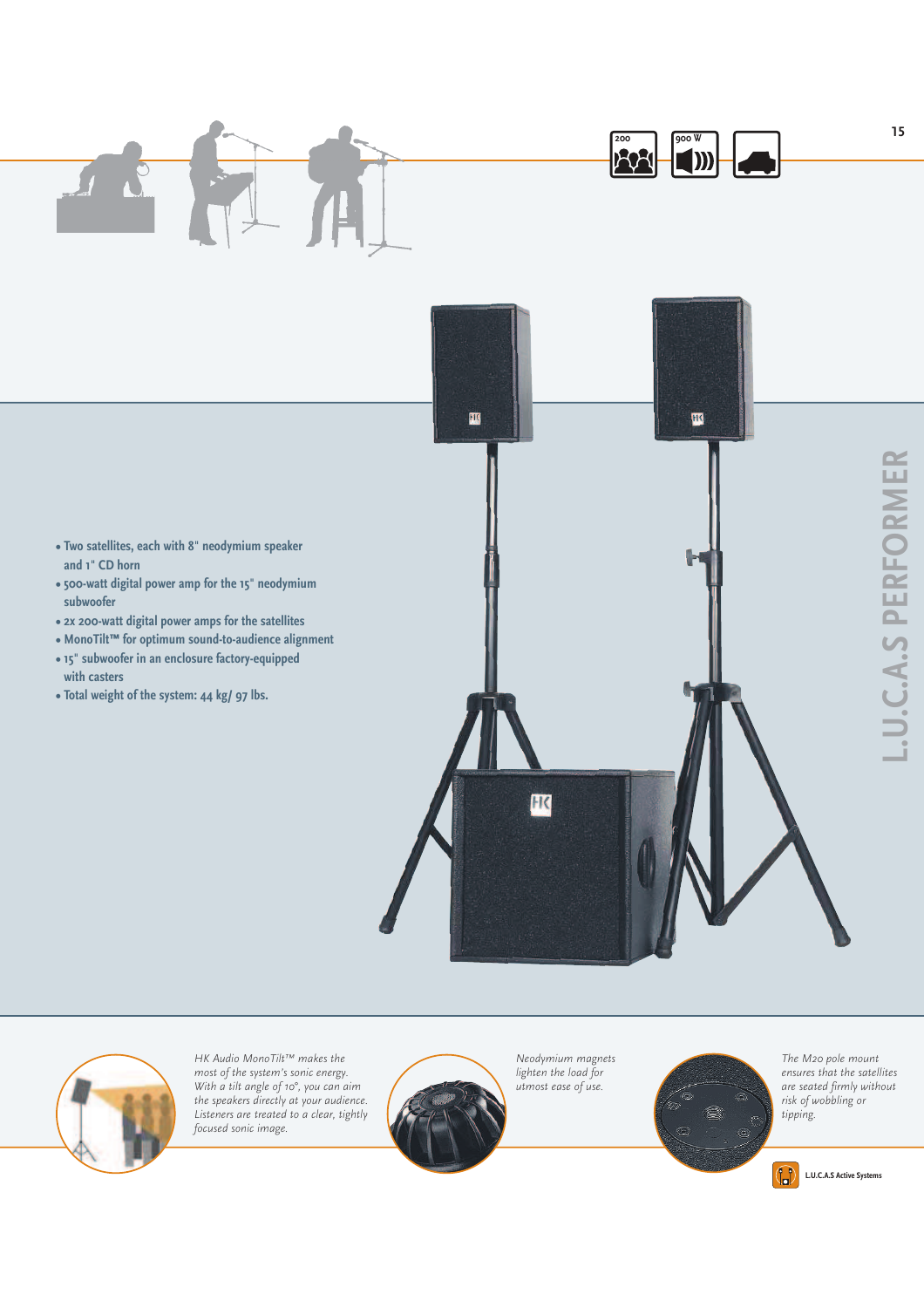

- **Two satellites, each with 8**" **neodymium speaker and 1**" **CD horn**
- **500-watt digital power amp for the 15**" **neodymium subwoofer**
- **2x 200-watt digital power amps for the satellites**
- **MonoTilt™ for optimum sound-to-audience alignment**
- **15**" **subwoofer in an enclosure factory-equipped with casters**
- **Total weight of the system: 44 kg/ 97 lbs.**



*HK Audio MonoTilt™ makes the most of the system's sonic energy. With a tilt angle of 10°, you can aim the speakers directly at your audience. Listeners are treated to a clear, tightly focused sonic image.*



*Neodymium magnets lighten the load for utmost ease of use.* 



*The M20 pole mount ensures that the satellites are seated firmly without risk of wobbling or tipping.*